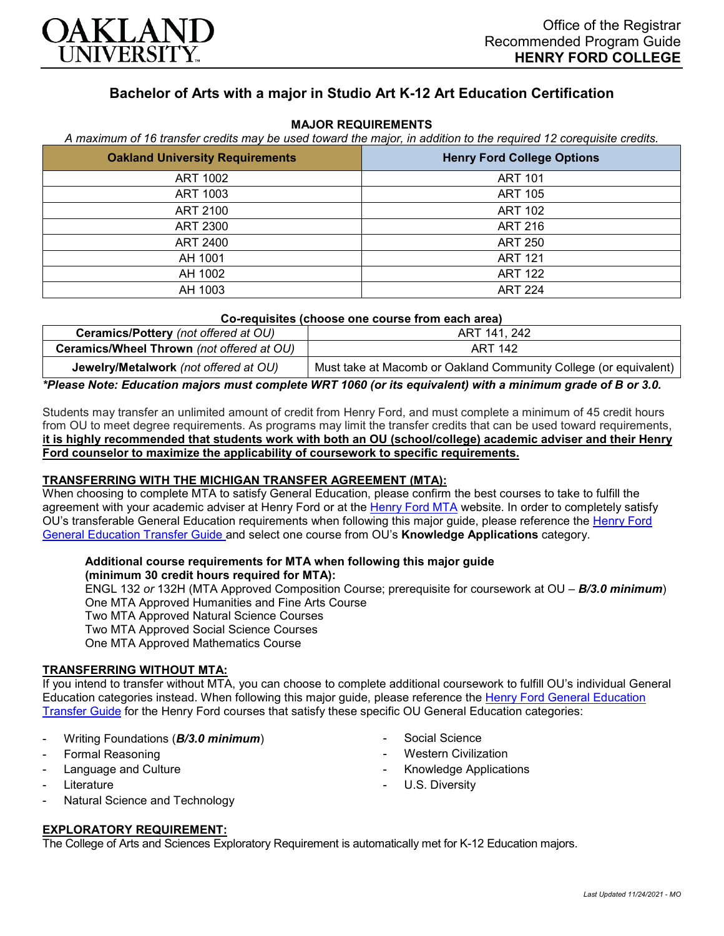

# **Bachelor of Arts with a major in Studio Art K-12 Art Education Certification**

### **MAJOR REQUIREMENTS**

*A maximum of 16 transfer credits may be used toward the major, in addition to the required 12 corequisite credits.*

| <b>Oakland University Requirements</b> | <b>Henry Ford College Options</b> |
|----------------------------------------|-----------------------------------|
| ART 1002                               | <b>ART 101</b>                    |
| ART 1003                               | <b>ART 105</b>                    |
| ART 2100                               | <b>ART 102</b>                    |
| ART 2300                               | <b>ART 216</b>                    |
| ART 2400                               | <b>ART 250</b>                    |
| AH 1001                                | <b>ART 121</b>                    |
| AH 1002                                | <b>ART 122</b>                    |
| AH 1003                                | <b>ART 224</b>                    |

| Co-requisites (choose one course from each area) |                                                                  |
|--------------------------------------------------|------------------------------------------------------------------|
| Ceramics/Pottery (not offered at OU)             | ART 141, 242                                                     |
| <b>Ceramics/Wheel Thrown</b> (not offered at OU) | ART 142                                                          |
| Jewelry/Metalwork (not offered at OU)            | Must take at Macomb or Oakland Community College (or equivalent) |

*\*Please Note: Education majors must complete WRT 1060 (or its equivalent) with a minimum grade of B or 3.0.*

Students may transfer an unlimited amount of credit from Henry Ford, and must complete a minimum of 45 credit hours from OU to meet degree requirements. As programs may limit the transfer credits that can be used toward requirements, **it is highly recommended that students work with both an OU (school/college) academic adviser and their Henry Ford counselor to maximize the applicability of coursework to specific requirements.**

#### **TRANSFERRING WITH THE MICHIGAN TRANSFER AGREEMENT (MTA):**

When choosing to complete MTA to satisfy General Education, please confirm the best courses to take to fulfill the agreement with your academic adviser at Henry Ford or at the [Henry Ford MTA](https://catalog.hfcc.edu/degrees/gen-ed) website. In order to completely satisfy OU's transferable General Education requirements when following this major guide, please reference the [Henry Ford](https://www.oakland.edu/Assets/Oakland/program-guides/henry-ford-college/university-general-education-requirements/Henry%20Ford%20Gen%20Ed.pdf)  [General Education Transfer Guide](https://www.oakland.edu/Assets/Oakland/program-guides/henry-ford-college/university-general-education-requirements/Henry%20Ford%20Gen%20Ed.pdf) and select one course from OU's **Knowledge Applications** category.

## **Additional course requirements for MTA when following this major guide**

**(minimum 30 credit hours required for MTA):** ENGL 132 *or* 132H (MTA Approved Composition Course; prerequisite for coursework at OU – *B/3.0 minimum*) One MTA Approved Humanities and Fine Arts Course Two MTA Approved Natural Science Courses Two MTA Approved Social Science Courses One MTA Approved Mathematics Course

### **TRANSFERRING WITHOUT MTA:**

If you intend to transfer without MTA, you can choose to complete additional coursework to fulfill OU's individual General Education categories instead. When following this major guide, please reference the [Henry Ford General Education](https://www.oakland.edu/Assets/Oakland/program-guides/henry-ford-college/university-general-education-requirements/Henry%20Ford%20Gen%20Ed.pdf)  [Transfer Guide](https://www.oakland.edu/Assets/Oakland/program-guides/henry-ford-college/university-general-education-requirements/Henry%20Ford%20Gen%20Ed.pdf) for the Henry Ford courses that satisfy these specific OU General Education categories:

- Writing Foundations (*B/3.0 minimum*)
- Formal Reasoning
- Language and Culture
- **Literature**
- Natural Science and Technology
- Social Science
- **Western Civilization**
- Knowledge Applications
- U.S. Diversity

**EXPLORATORY REQUIREMENT:**

The College of Arts and Sciences Exploratory Requirement is automatically met for K-12 Education majors.